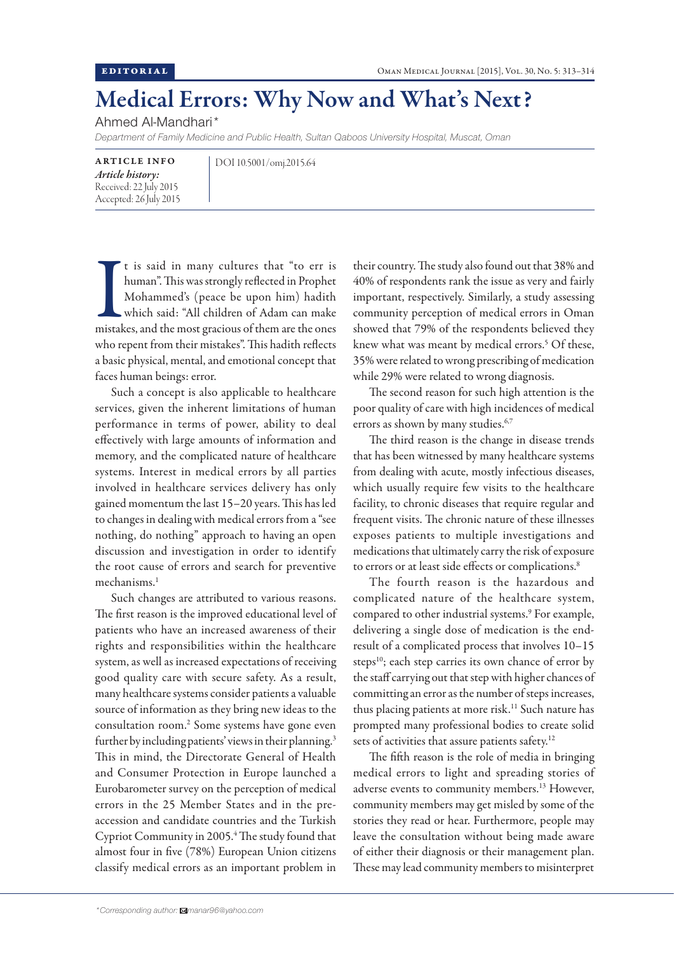## Medical Errors: Why Now and What's Next?

Ahmed Al-Mandhari\*

*Department of Family Medicine and Public Health, Sultan Qaboos University Hospital, Muscat, Oman*

ARTICLE INFO *Article history:*  Received: 22 July 2015 Accepted: 26 July 2015 DOI 10.5001/omj.2015.64

It is said in many cultures that "to err is<br>human". This was strongly reflected in Prophet<br>Mohammed's (peace be upon him) hadith<br>which said: "All children of Adam can make<br>mistakes, and the most gracious of them are the on t is said in many cultures that "to err is human". This was strongly reflected in Prophet Mohammed's (peace be upon him) hadith which said: "All children of Adam can make who repent from their mistakes". This hadith reflects a basic physical, mental, and emotional concept that faces human beings: error.

Such a concept is also applicable to healthcare services, given the inherent limitations of human performance in terms of power, ability to deal effectively with large amounts of information and memory, and the complicated nature of healthcare systems. Interest in medical errors by all parties involved in healthcare services delivery has only gained momentum the last 15–20 years. This has led to changes in dealing with medical errors from a "see nothing, do nothing" approach to having an open discussion and investigation in order to identify the root cause of errors and search for preventive mechanisms<sup>1</sup>

Such changes are attributed to various reasons. The first reason is the improved educational level of patients who have an increased awareness of their rights and responsibilities within the healthcare system, as well as increased expectations of receiving good quality care with secure safety. As a result, many healthcare systems consider patients a valuable source of information as they bring new ideas to the consultation room.2 Some systems have gone even further by including patients' views in their planning.<sup>3</sup> This in mind, the Directorate General of Health and Consumer Protection in Europe launched a Eurobarometer survey on the perception of medical errors in the 25 Member States and in the preaccession and candidate countries and the Turkish Cypriot Community in 2005.<sup>4</sup> The study found that almost four in five (78%) European Union citizens classify medical errors as an important problem in

their country. The study also found out that 38% and 40% of respondents rank the issue as very and fairly important, respectively. Similarly, a study assessing community perception of medical errors in Oman showed that 79% of the respondents believed they knew what was meant by medical errors.<sup>5</sup> Of these, 35% were related to wrong prescribing of medication while 29% were related to wrong diagnosis.

The second reason for such high attention is the poor quality of care with high incidences of medical errors as shown by many studies.<sup>6,7</sup>

The third reason is the change in disease trends that has been witnessed by many healthcare systems from dealing with acute, mostly infectious diseases, which usually require few visits to the healthcare facility, to chronic diseases that require regular and frequent visits. The chronic nature of these illnesses exposes patients to multiple investigations and medications that ultimately carry the risk of exposure to errors or at least side effects or complications.<sup>8</sup>

The fourth reason is the hazardous and complicated nature of the healthcare system, compared to other industrial systems.<sup>9</sup> For example, delivering a single dose of medication is the endresult of a complicated process that involves 10–15 steps<sup>10</sup>; each step carries its own chance of error by the staff carrying out that step with higher chances of committing an error as the number of steps increases, thus placing patients at more risk.<sup>11</sup> Such nature has prompted many professional bodies to create solid sets of activities that assure patients safety.<sup>12</sup>

The fifth reason is the role of media in bringing medical errors to light and spreading stories of adverse events to community members.13 However, community members may get misled by some of the stories they read or hear. Furthermore, people may leave the consultation without being made aware of either their diagnosis or their management plan. These may lead community members to misinterpret